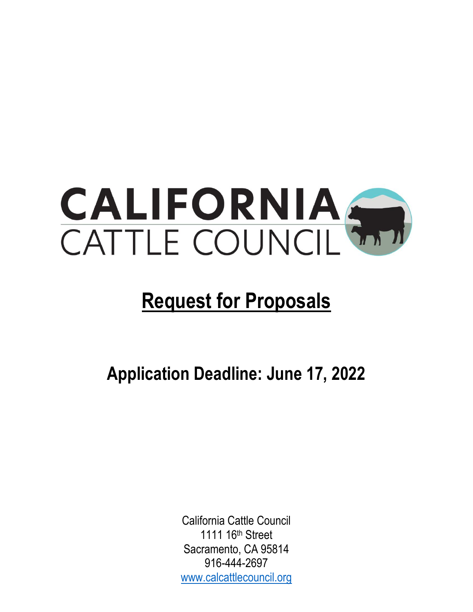

# **Request for Proposals**

**Application Deadline: June 17, 2022**

California Cattle Council 1111 16th Street Sacramento, CA 95814 916-444-2697 [www.calcattlecouncil.org](http://www.calcattlecouncil.org/)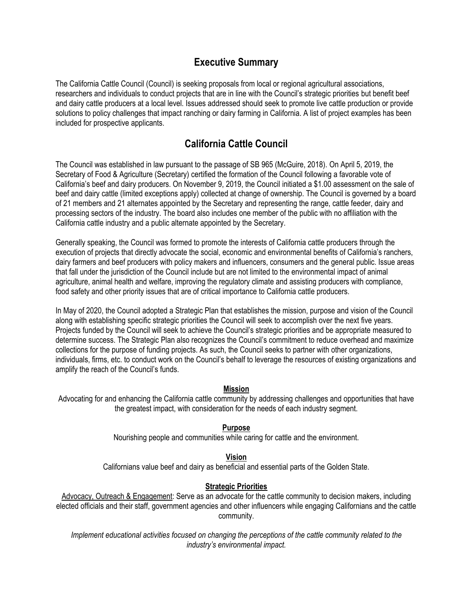#### **Executive Summary**

The California Cattle Council (Council) is seeking proposals from local or regional agricultural associations, researchers and individuals to conduct projects that are in line with the Council's strategic priorities but benefit beef and dairy cattle producers at a local level. Issues addressed should seek to promote live cattle production or provide solutions to policy challenges that impact ranching or dairy farming in California. A list of project examples has been included for prospective applicants.

## **California Cattle Council**

The Council was established in law pursuant to the passage of SB 965 (McGuire, 2018). On April 5, 2019, the Secretary of Food & Agriculture (Secretary) certified the formation of the Council following a favorable vote of California's beef and dairy producers. On November 9, 2019, the Council initiated a \$1.00 assessment on the sale of beef and dairy cattle (limited exceptions apply) collected at change of ownership. The Council is governed by a board of 21 members and 21 alternates appointed by the Secretary and representing the range, cattle feeder, dairy and processing sectors of the industry. The board also includes one member of the public with no affiliation with the California cattle industry and a public alternate appointed by the Secretary.

Generally speaking, the Council was formed to promote the interests of California cattle producers through the execution of projects that directly advocate the social, economic and environmental benefits of California's ranchers, dairy farmers and beef producers with policy makers and influencers, consumers and the general public. Issue areas that fall under the jurisdiction of the Council include but are not limited to the environmental impact of animal agriculture, animal health and welfare, improving the regulatory climate and assisting producers with compliance, food safety and other priority issues that are of critical importance to California cattle producers.

In May of 2020, the Council adopted a Strategic Plan that establishes the mission, purpose and vision of the Council along with establishing specific strategic priorities the Council will seek to accomplish over the next five years. Projects funded by the Council will seek to achieve the Council's strategic priorities and be appropriate measured to determine success. The Strategic Plan also recognizes the Council's commitment to reduce overhead and maximize collections for the purpose of funding projects. As such, the Council seeks to partner with other organizations, individuals, firms, etc. to conduct work on the Council's behalf to leverage the resources of existing organizations and amplify the reach of the Council's funds.

#### **Mission**

Advocating for and enhancing the California cattle community by addressing challenges and opportunities that have the greatest impact, with consideration for the needs of each industry segment.

#### **Purpose**

Nourishing people and communities while caring for cattle and the environment.

#### **Vision**

Californians value beef and dairy as beneficial and essential parts of the Golden State.

#### **Strategic Priorities**

Advocacy, Outreach & Engagement: Serve as an advocate for the cattle community to decision makers, including elected officials and their staff, government agencies and other influencers while engaging Californians and the cattle community.

*Implement educational activities focused on changing the perceptions of the cattle community related to the industry's environmental impact.*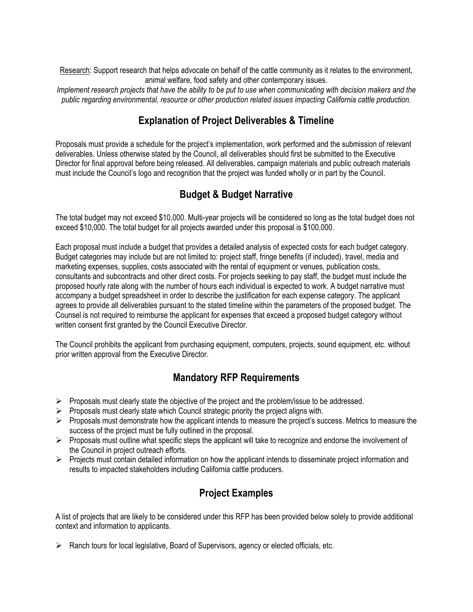Research: Support research that helps advocate on behalf of the cattle community as it relates to the environment, animal welfare, food safety and other contemporary issues.

*Implement research projects that have the ability to be put to use when communicating with decision makers and the public regarding environmental, resource or other production related issues impacting California cattle production.*

## **Explanation of Project Deliverables & Timeline**

Proposals must provide a schedule for the project's implementation, work performed and the submission of relevant deliverables. Unless otherwise stated by the Council, all deliverables should first be submitted to the Executive Director for final approval before being released. All deliverables, campaign materials and public outreach materials must include the Council's logo and recognition that the project was funded wholly or in part by the Council.

## **Budget & Budget Narrative**

The total budget may not exceed \$10,000. Multi-year projects will be considered so long as the total budget does not exceed \$10,000. The total budget for all projects awarded under this proposal is \$100,000.

Each proposal must include a budget that provides a detailed analysis of expected costs for each budget category. Budget categories may include but are not limited to: project staff, fringe benefits (if included), travel, media and marketing expenses, supplies, costs associated with the rental of equipment or venues, publication costs, consultants and subcontracts and other direct costs. For projects seeking to pay staff, the budget must include the proposed hourly rate along with the number of hours each individual is expected to work. A budget narrative must accompany a budget spreadsheet in order to describe the justification for each expense category. The applicant agrees to provide all deliverables pursuant to the stated timeline within the parameters of the proposed budget. The Counsel is not required to reimburse the applicant for expenses that exceed a proposed budget category without written consent first granted by the Council Executive Director.

The Council prohibits the applicant from purchasing equipment, computers, projects, sound equipment, etc. without prior written approval from the Executive Director.

#### **Mandatory RFP Requirements**

- $\triangleright$  Proposals must clearly state the objective of the project and the problem/issue to be addressed.
- $\triangleright$  Proposals must clearly state which Council strategic priority the project aligns with.
- ➢ Proposals must demonstrate how the applicant intends to measure the project's success. Metrics to measure the success of the project must be fully outlined in the proposal.
- $\triangleright$  Proposals must outline what specific steps the applicant will take to recognize and endorse the involvement of the Council in project outreach efforts.
- $\triangleright$  Projects must contain detailed information on how the applicant intends to disseminate project information and results to impacted stakeholders including California cattle producers.

## **Project Examples**

A list of projects that are likely to be considered under this RFP has been provided below solely to provide additional context and information to applicants.

➢ Ranch tours for local legislative, Board of Supervisors, agency or elected officials, etc.